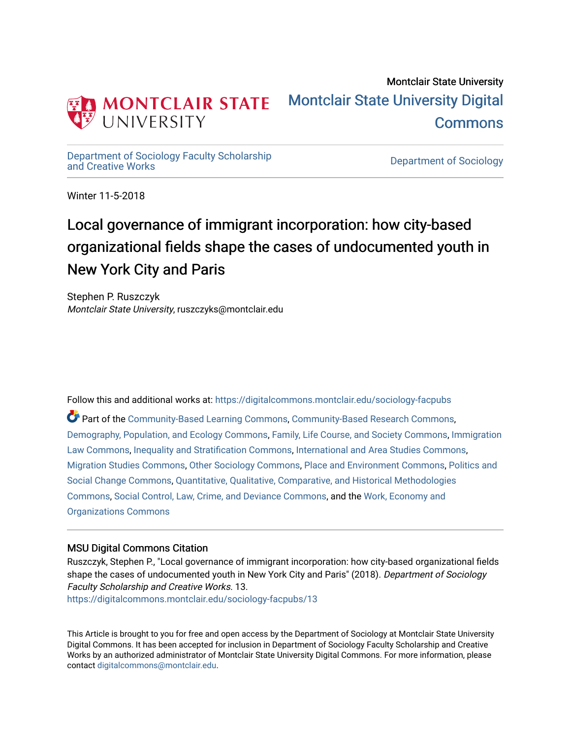

## Montclair State University [Montclair State University Digital](https://digitalcommons.montclair.edu/)  [Commons](https://digitalcommons.montclair.edu/)

[Department of Sociology Faculty Scholarship](https://digitalcommons.montclair.edu/sociology-facpubs)

Department of Sociology

Winter 11-5-2018

# Local governance of immigrant incorporation: how city-based organizational fields shape the cases of undocumented youth in New York City and Paris

Stephen P. Ruszczyk Montclair State University, ruszczyks@montclair.edu

Follow this and additional works at: [https://digitalcommons.montclair.edu/sociology-facpubs](https://digitalcommons.montclair.edu/sociology-facpubs?utm_source=digitalcommons.montclair.edu%2Fsociology-facpubs%2F13&utm_medium=PDF&utm_campaign=PDFCoverPages)

Part of the [Community-Based Learning Commons,](http://network.bepress.com/hgg/discipline/1046?utm_source=digitalcommons.montclair.edu%2Fsociology-facpubs%2F13&utm_medium=PDF&utm_campaign=PDFCoverPages) [Community-Based Research Commons](http://network.bepress.com/hgg/discipline/1047?utm_source=digitalcommons.montclair.edu%2Fsociology-facpubs%2F13&utm_medium=PDF&utm_campaign=PDFCoverPages), [Demography, Population, and Ecology Commons](http://network.bepress.com/hgg/discipline/418?utm_source=digitalcommons.montclair.edu%2Fsociology-facpubs%2F13&utm_medium=PDF&utm_campaign=PDFCoverPages), [Family, Life Course, and Society Commons,](http://network.bepress.com/hgg/discipline/419?utm_source=digitalcommons.montclair.edu%2Fsociology-facpubs%2F13&utm_medium=PDF&utm_campaign=PDFCoverPages) [Immigration](http://network.bepress.com/hgg/discipline/604?utm_source=digitalcommons.montclair.edu%2Fsociology-facpubs%2F13&utm_medium=PDF&utm_campaign=PDFCoverPages) [Law Commons,](http://network.bepress.com/hgg/discipline/604?utm_source=digitalcommons.montclair.edu%2Fsociology-facpubs%2F13&utm_medium=PDF&utm_campaign=PDFCoverPages) [Inequality and Stratification Commons](http://network.bepress.com/hgg/discipline/421?utm_source=digitalcommons.montclair.edu%2Fsociology-facpubs%2F13&utm_medium=PDF&utm_campaign=PDFCoverPages), [International and Area Studies Commons,](http://network.bepress.com/hgg/discipline/360?utm_source=digitalcommons.montclair.edu%2Fsociology-facpubs%2F13&utm_medium=PDF&utm_campaign=PDFCoverPages) [Migration Studies Commons,](http://network.bepress.com/hgg/discipline/1394?utm_source=digitalcommons.montclair.edu%2Fsociology-facpubs%2F13&utm_medium=PDF&utm_campaign=PDFCoverPages) [Other Sociology Commons,](http://network.bepress.com/hgg/discipline/434?utm_source=digitalcommons.montclair.edu%2Fsociology-facpubs%2F13&utm_medium=PDF&utm_campaign=PDFCoverPages) [Place and Environment Commons](http://network.bepress.com/hgg/discipline/424?utm_source=digitalcommons.montclair.edu%2Fsociology-facpubs%2F13&utm_medium=PDF&utm_campaign=PDFCoverPages), [Politics and](http://network.bepress.com/hgg/discipline/425?utm_source=digitalcommons.montclair.edu%2Fsociology-facpubs%2F13&utm_medium=PDF&utm_campaign=PDFCoverPages) [Social Change Commons](http://network.bepress.com/hgg/discipline/425?utm_source=digitalcommons.montclair.edu%2Fsociology-facpubs%2F13&utm_medium=PDF&utm_campaign=PDFCoverPages), [Quantitative, Qualitative, Comparative, and Historical Methodologies](http://network.bepress.com/hgg/discipline/423?utm_source=digitalcommons.montclair.edu%2Fsociology-facpubs%2F13&utm_medium=PDF&utm_campaign=PDFCoverPages) [Commons](http://network.bepress.com/hgg/discipline/423?utm_source=digitalcommons.montclair.edu%2Fsociology-facpubs%2F13&utm_medium=PDF&utm_campaign=PDFCoverPages), [Social Control, Law, Crime, and Deviance Commons](http://network.bepress.com/hgg/discipline/429?utm_source=digitalcommons.montclair.edu%2Fsociology-facpubs%2F13&utm_medium=PDF&utm_campaign=PDFCoverPages), and the [Work, Economy and](http://network.bepress.com/hgg/discipline/433?utm_source=digitalcommons.montclair.edu%2Fsociology-facpubs%2F13&utm_medium=PDF&utm_campaign=PDFCoverPages)  [Organizations Commons](http://network.bepress.com/hgg/discipline/433?utm_source=digitalcommons.montclair.edu%2Fsociology-facpubs%2F13&utm_medium=PDF&utm_campaign=PDFCoverPages)

## MSU Digital Commons Citation

Ruszczyk, Stephen P., "Local governance of immigrant incorporation: how city-based organizational fields shape the cases of undocumented youth in New York City and Paris" (2018). Department of Sociology Faculty Scholarship and Creative Works. 13. [https://digitalcommons.montclair.edu/sociology-facpubs/13](https://digitalcommons.montclair.edu/sociology-facpubs/13?utm_source=digitalcommons.montclair.edu%2Fsociology-facpubs%2F13&utm_medium=PDF&utm_campaign=PDFCoverPages) 

This Article is brought to you for free and open access by the Department of Sociology at Montclair State University Digital Commons. It has been accepted for inclusion in Department of Sociology Faculty Scholarship and Creative Works by an authorized administrator of Montclair State University Digital Commons. For more information, please contact [digitalcommons@montclair.edu](mailto:digitalcommons@montclair.edu).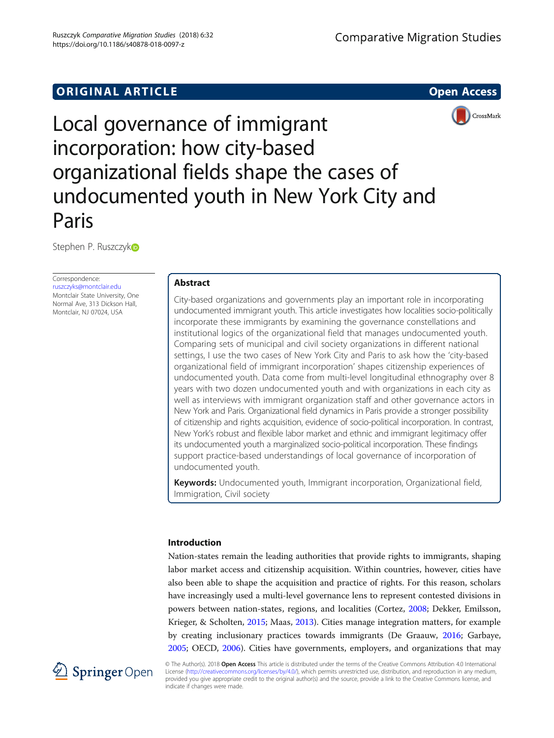## **ORIGINAL ARTICLE CONSUMING A LIGACION** CONSUMING A LIGACION CONSUMING A LIGACION CONSUMING A LIGACION CONSUMING A LIGACION CONSUMING A LIGACION CONSUMING A LIGACION CONSUMING A LIGACION CONSUMING A LIGACION CONSUMING A





Local governance of immigrant incorporation: how city-based organizational fields shape the cases of undocumented youth in New York City and Paris

Stephen P. Ruszczyko

Correspondence: [ruszczyks@montclair.edu](mailto:ruszczyks@montclair.edu) Montclair State University, One Normal Ave, 313 Dickson Hall, Montclair, NJ 07024, USA

## Abstract

City-based organizations and governments play an important role in incorporating undocumented immigrant youth. This article investigates how localities socio-politically incorporate these immigrants by examining the governance constellations and institutional logics of the organizational field that manages undocumented youth. Comparing sets of municipal and civil society organizations in different national settings, I use the two cases of New York City and Paris to ask how the 'city-based organizational field of immigrant incorporation' shapes citizenship experiences of undocumented youth. Data come from multi-level longitudinal ethnography over 8 years with two dozen undocumented youth and with organizations in each city as well as interviews with immigrant organization staff and other governance actors in New York and Paris. Organizational field dynamics in Paris provide a stronger possibility of citizenship and rights acquisition, evidence of socio-political incorporation. In contrast, New York's robust and flexible labor market and ethnic and immigrant legitimacy offer its undocumented youth a marginalized socio-political incorporation. These findings support practice-based understandings of local governance of incorporation of undocumented youth.

Keywords: Undocumented youth, Immigrant incorporation, Organizational field, Immigration, Civil society

### Introduction

Nation-states remain the leading authorities that provide rights to immigrants, shaping labor market access and citizenship acquisition. Within countries, however, cities have also been able to shape the acquisition and practice of rights. For this reason, scholars have increasingly used a multi-level governance lens to represent contested divisions in powers between nation-states, regions, and localities (Cortez, [2008](#page-17-0); Dekker, Emilsson, Krieger, & Scholten, [2015;](#page-18-0) Maas, [2013](#page-18-0)). Cities manage integration matters, for example by creating inclusionary practices towards immigrants (De Graauw, [2016;](#page-18-0) Garbaye, [2005](#page-18-0); OECD, [2006\)](#page-18-0). Cities have governments, employers, and organizations that may



© The Author(s). 2018 Open Access This article is distributed under the terms of the Creative Commons Attribution 4.0 International License [\(http://creativecommons.org/licenses/by/4.0/](http://creativecommons.org/licenses/by/4.0/)), which permits unrestricted use, distribution, and reproduction in any medium, provided you give appropriate credit to the original author(s) and the source, provide a link to the Creative Commons license, and indicate if changes were made.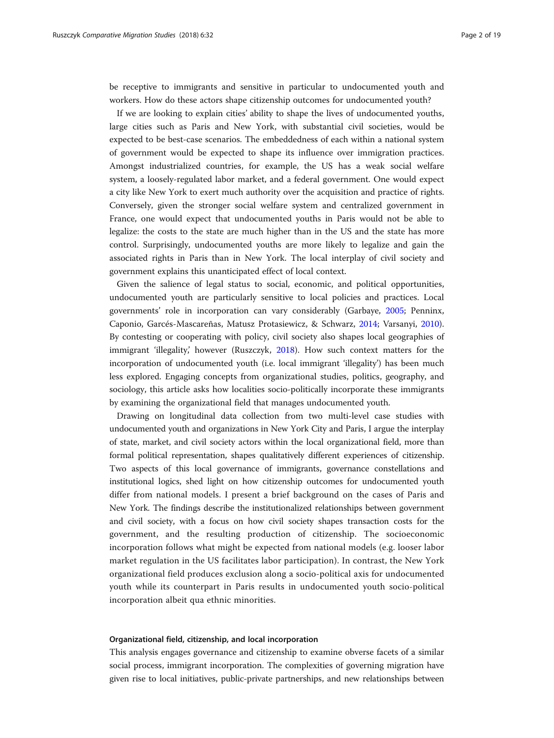be receptive to immigrants and sensitive in particular to undocumented youth and workers. How do these actors shape citizenship outcomes for undocumented youth?

If we are looking to explain cities' ability to shape the lives of undocumented youths, large cities such as Paris and New York, with substantial civil societies, would be expected to be best-case scenarios. The embeddedness of each within a national system of government would be expected to shape its influence over immigration practices. Amongst industrialized countries, for example, the US has a weak social welfare system, a loosely-regulated labor market, and a federal government. One would expect a city like New York to exert much authority over the acquisition and practice of rights. Conversely, given the stronger social welfare system and centralized government in France, one would expect that undocumented youths in Paris would not be able to legalize: the costs to the state are much higher than in the US and the state has more control. Surprisingly, undocumented youths are more likely to legalize and gain the associated rights in Paris than in New York. The local interplay of civil society and government explains this unanticipated effect of local context.

Given the salience of legal status to social, economic, and political opportunities, undocumented youth are particularly sensitive to local policies and practices. Local governments' role in incorporation can vary considerably (Garbaye, [2005](#page-18-0); Penninx, Caponio, Garcés-Mascareñas, Matusz Protasiewicz, & Schwarz, [2014;](#page-19-0) Varsanyi, [2010](#page-19-0)). By contesting or cooperating with policy, civil society also shapes local geographies of immigrant 'illegality,' however (Ruszczyk, [2018\)](#page-19-0). How such context matters for the incorporation of undocumented youth (i.e. local immigrant 'illegality') has been much less explored. Engaging concepts from organizational studies, politics, geography, and sociology, this article asks how localities socio-politically incorporate these immigrants by examining the organizational field that manages undocumented youth.

Drawing on longitudinal data collection from two multi-level case studies with undocumented youth and organizations in New York City and Paris, I argue the interplay of state, market, and civil society actors within the local organizational field, more than formal political representation, shapes qualitatively different experiences of citizenship. Two aspects of this local governance of immigrants, governance constellations and institutional logics, shed light on how citizenship outcomes for undocumented youth differ from national models. I present a brief background on the cases of Paris and New York. The findings describe the institutionalized relationships between government and civil society, with a focus on how civil society shapes transaction costs for the government, and the resulting production of citizenship. The socioeconomic incorporation follows what might be expected from national models (e.g. looser labor market regulation in the US facilitates labor participation). In contrast, the New York organizational field produces exclusion along a socio-political axis for undocumented youth while its counterpart in Paris results in undocumented youth socio-political incorporation albeit qua ethnic minorities.

#### Organizational field, citizenship, and local incorporation

This analysis engages governance and citizenship to examine obverse facets of a similar social process, immigrant incorporation. The complexities of governing migration have given rise to local initiatives, public-private partnerships, and new relationships between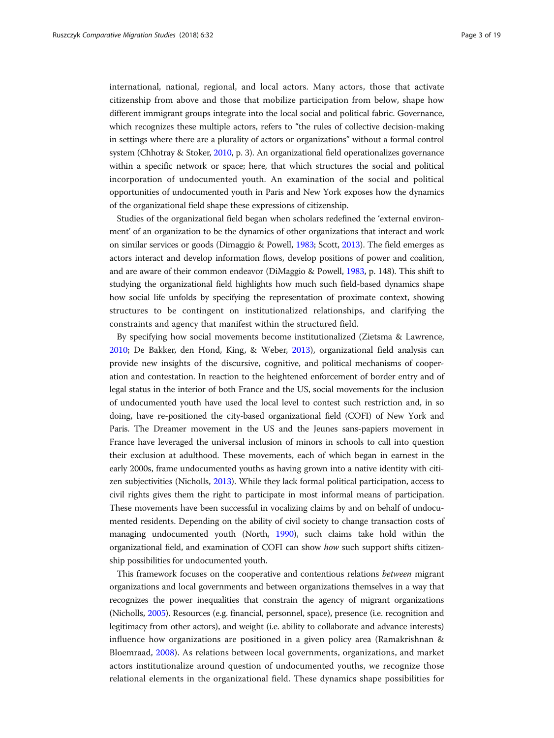international, national, regional, and local actors. Many actors, those that activate citizenship from above and those that mobilize participation from below, shape how different immigrant groups integrate into the local social and political fabric. Governance, which recognizes these multiple actors, refers to "the rules of collective decision-making in settings where there are a plurality of actors or organizations" without a formal control system (Chhotray & Stoker, [2010](#page-17-0), p. 3). An organizational field operationalizes governance within a specific network or space; here, that which structures the social and political incorporation of undocumented youth. An examination of the social and political opportunities of undocumented youth in Paris and New York exposes how the dynamics of the organizational field shape these expressions of citizenship.

Studies of the organizational field began when scholars redefined the 'external environment' of an organization to be the dynamics of other organizations that interact and work on similar services or goods (Dimaggio & Powell, [1983](#page-18-0); Scott, [2013](#page-19-0)). The field emerges as actors interact and develop information flows, develop positions of power and coalition, and are aware of their common endeavor (DiMaggio & Powell, [1983,](#page-18-0) p. 148). This shift to studying the organizational field highlights how much such field-based dynamics shape how social life unfolds by specifying the representation of proximate context, showing structures to be contingent on institutionalized relationships, and clarifying the constraints and agency that manifest within the structured field.

By specifying how social movements become institutionalized (Zietsma & Lawrence, [2010](#page-19-0); De Bakker, den Hond, King, & Weber, [2013\)](#page-17-0), organizational field analysis can provide new insights of the discursive, cognitive, and political mechanisms of cooperation and contestation. In reaction to the heightened enforcement of border entry and of legal status in the interior of both France and the US, social movements for the inclusion of undocumented youth have used the local level to contest such restriction and, in so doing, have re-positioned the city-based organizational field (COFI) of New York and Paris. The Dreamer movement in the US and the Jeunes sans-papiers movement in France have leveraged the universal inclusion of minors in schools to call into question their exclusion at adulthood. These movements, each of which began in earnest in the early 2000s, frame undocumented youths as having grown into a native identity with citizen subjectivities (Nicholls, [2013\)](#page-18-0). While they lack formal political participation, access to civil rights gives them the right to participate in most informal means of participation. These movements have been successful in vocalizing claims by and on behalf of undocumented residents. Depending on the ability of civil society to change transaction costs of managing undocumented youth (North, [1990\)](#page-18-0), such claims take hold within the organizational field, and examination of COFI can show how such support shifts citizenship possibilities for undocumented youth.

This framework focuses on the cooperative and contentious relations between migrant organizations and local governments and between organizations themselves in a way that recognizes the power inequalities that constrain the agency of migrant organizations (Nicholls, [2005](#page-18-0)). Resources (e.g. financial, personnel, space), presence (i.e. recognition and legitimacy from other actors), and weight (i.e. ability to collaborate and advance interests) influence how organizations are positioned in a given policy area (Ramakrishnan & Bloemraad, [2008\)](#page-19-0). As relations between local governments, organizations, and market actors institutionalize around question of undocumented youths, we recognize those relational elements in the organizational field. These dynamics shape possibilities for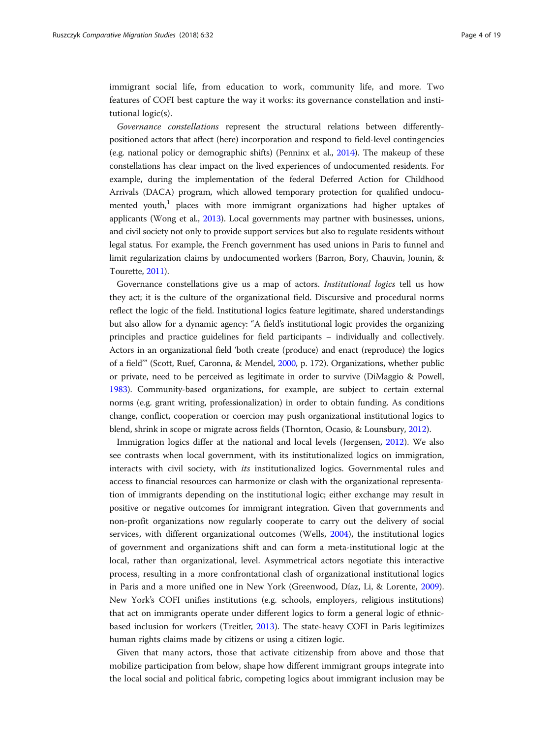immigrant social life, from education to work, community life, and more. Two features of COFI best capture the way it works: its governance constellation and institutional logic(s).

Governance constellations represent the structural relations between differentlypositioned actors that affect (here) incorporation and respond to field-level contingencies (e.g. national policy or demographic shifts) (Penninx et al., [2014](#page-19-0)). The makeup of these constellations has clear impact on the lived experiences of undocumented residents. For example, during the implementation of the federal Deferred Action for Childhood Arrivals (DACA) program, which allowed temporary protection for qualified undocumented youth, $1$  places with more immigrant organizations had higher uptakes of applicants (Wong et al., [2013\)](#page-19-0). Local governments may partner with businesses, unions, and civil society not only to provide support services but also to regulate residents without legal status. For example, the French government has used unions in Paris to funnel and limit regularization claims by undocumented workers (Barron, Bory, Chauvin, Jounin, & Tourette, [2011\)](#page-17-0).

Governance constellations give us a map of actors. Institutional logics tell us how they act; it is the culture of the organizational field. Discursive and procedural norms reflect the logic of the field. Institutional logics feature legitimate, shared understandings but also allow for a dynamic agency: "A field's institutional logic provides the organizing principles and practice guidelines for field participants – individually and collectively. Actors in an organizational field 'both create (produce) and enact (reproduce) the logics of a field'" (Scott, Ruef, Caronna, & Mendel, [2000](#page-19-0), p. 172). Organizations, whether public or private, need to be perceived as legitimate in order to survive (DiMaggio & Powell, [1983\)](#page-18-0). Community-based organizations, for example, are subject to certain external norms (e.g. grant writing, professionalization) in order to obtain funding. As conditions change, conflict, cooperation or coercion may push organizational institutional logics to blend, shrink in scope or migrate across fields (Thornton, Ocasio, & Lounsbury, [2012\)](#page-19-0).

Immigration logics differ at the national and local levels (Jørgensen, [2012\)](#page-18-0). We also see contrasts when local government, with its institutionalized logics on immigration, interacts with civil society, with *its* institutionalized logics. Governmental rules and access to financial resources can harmonize or clash with the organizational representation of immigrants depending on the institutional logic; either exchange may result in positive or negative outcomes for immigrant integration. Given that governments and non-profit organizations now regularly cooperate to carry out the delivery of social services, with different organizational outcomes (Wells, [2004\)](#page-19-0), the institutional logics of government and organizations shift and can form a meta-institutional logic at the local, rather than organizational, level. Asymmetrical actors negotiate this interactive process, resulting in a more confrontational clash of organizational institutional logics in Paris and a more unified one in New York (Greenwood, Díaz, Li, & Lorente, [2009](#page-18-0)). New York's COFI unifies institutions (e.g. schools, employers, religious institutions) that act on immigrants operate under different logics to form a general logic of ethnicbased inclusion for workers (Treitler, [2013](#page-19-0)). The state-heavy COFI in Paris legitimizes human rights claims made by citizens or using a citizen logic.

Given that many actors, those that activate citizenship from above and those that mobilize participation from below, shape how different immigrant groups integrate into the local social and political fabric, competing logics about immigrant inclusion may be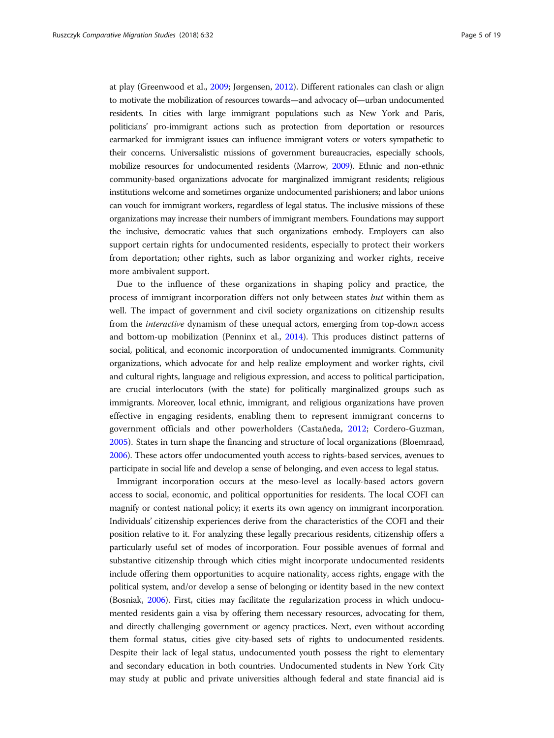at play (Greenwood et al., [2009;](#page-18-0) Jørgensen, [2012](#page-18-0)). Different rationales can clash or align to motivate the mobilization of resources towards—and advocacy of—urban undocumented residents. In cities with large immigrant populations such as New York and Paris, politicians' pro-immigrant actions such as protection from deportation or resources earmarked for immigrant issues can influence immigrant voters or voters sympathetic to their concerns. Universalistic missions of government bureaucracies, especially schools, mobilize resources for undocumented residents (Marrow, [2009](#page-18-0)). Ethnic and non-ethnic community-based organizations advocate for marginalized immigrant residents; religious institutions welcome and sometimes organize undocumented parishioners; and labor unions can vouch for immigrant workers, regardless of legal status. The inclusive missions of these organizations may increase their numbers of immigrant members. Foundations may support the inclusive, democratic values that such organizations embody. Employers can also support certain rights for undocumented residents, especially to protect their workers from deportation; other rights, such as labor organizing and worker rights, receive more ambivalent support.

Due to the influence of these organizations in shaping policy and practice, the process of immigrant incorporation differs not only between states but within them as well. The impact of government and civil society organizations on citizenship results from the interactive dynamism of these unequal actors, emerging from top-down access and bottom-up mobilization (Penninx et al., [2014\)](#page-19-0). This produces distinct patterns of social, political, and economic incorporation of undocumented immigrants. Community organizations, which advocate for and help realize employment and worker rights, civil and cultural rights, language and religious expression, and access to political participation, are crucial interlocutors (with the state) for politically marginalized groups such as immigrants. Moreover, local ethnic, immigrant, and religious organizations have proven effective in engaging residents, enabling them to represent immigrant concerns to government officials and other powerholders (Castañeda, [2012](#page-17-0); Cordero-Guzman, [2005\)](#page-17-0). States in turn shape the financing and structure of local organizations (Bloemraad, [2006\)](#page-17-0). These actors offer undocumented youth access to rights-based services, avenues to participate in social life and develop a sense of belonging, and even access to legal status.

Immigrant incorporation occurs at the meso-level as locally-based actors govern access to social, economic, and political opportunities for residents. The local COFI can magnify or contest national policy; it exerts its own agency on immigrant incorporation. Individuals' citizenship experiences derive from the characteristics of the COFI and their position relative to it. For analyzing these legally precarious residents, citizenship offers a particularly useful set of modes of incorporation. Four possible avenues of formal and substantive citizenship through which cities might incorporate undocumented residents include offering them opportunities to acquire nationality, access rights, engage with the political system, and/or develop a sense of belonging or identity based in the new context (Bosniak, [2006\)](#page-17-0). First, cities may facilitate the regularization process in which undocumented residents gain a visa by offering them necessary resources, advocating for them, and directly challenging government or agency practices. Next, even without according them formal status, cities give city-based sets of rights to undocumented residents. Despite their lack of legal status, undocumented youth possess the right to elementary and secondary education in both countries. Undocumented students in New York City may study at public and private universities although federal and state financial aid is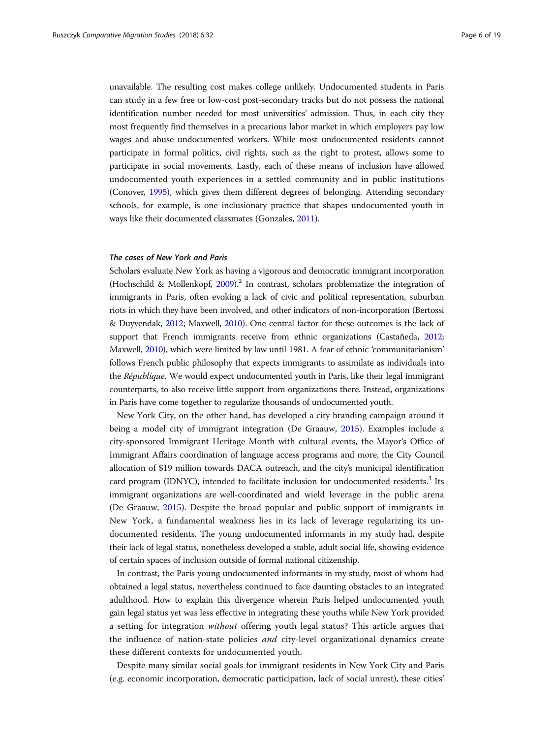unavailable. The resulting cost makes college unlikely. Undocumented students in Paris can study in a few free or low-cost post-secondary tracks but do not possess the national identification number needed for most universities' admission. Thus, in each city they most frequently find themselves in a precarious labor market in which employers pay low wages and abuse undocumented workers. While most undocumented residents cannot participate in formal politics, civil rights, such as the right to protest, allows some to participate in social movements. Lastly, each of these means of inclusion have allowed undocumented youth experiences in a settled community and in public institutions (Conover, [1995](#page-17-0)), which gives them different degrees of belonging. Attending secondary schools, for example, is one inclusionary practice that shapes undocumented youth in ways like their documented classmates (Gonzales, [2011\)](#page-18-0).

#### The cases of New York and Paris

Scholars evaluate New York as having a vigorous and democratic immigrant incorporation (Hochschild & Mollenkopf,  $2009$ ).<sup>2</sup> In contrast, scholars problematize the integration of immigrants in Paris, often evoking a lack of civic and political representation, suburban riots in which they have been involved, and other indicators of non-incorporation (Bertossi & Duyvendak, [2012](#page-17-0); Maxwell, [2010\)](#page-18-0). One central factor for these outcomes is the lack of support that French immigrants receive from ethnic organizations (Castañeda, [2012](#page-17-0); Maxwell, [2010](#page-18-0)), which were limited by law until 1981. A fear of ethnic 'communitarianism' follows French public philosophy that expects immigrants to assimilate as individuals into the République. We would expect undocumented youth in Paris, like their legal immigrant counterparts, to also receive little support from organizations there. Instead, organizations in Paris have come together to regularize thousands of undocumented youth.

New York City, on the other hand, has developed a city branding campaign around it being a model city of immigrant integration (De Graauw, [2015](#page-18-0)). Examples include a city-sponsored Immigrant Heritage Month with cultural events, the Mayor's Office of Immigrant Affairs coordination of language access programs and more, the City Council allocation of \$19 million towards DACA outreach, and the city's municipal identification card program (IDNYC), intended to facilitate inclusion for undocumented residents.<sup>3</sup> Its immigrant organizations are well-coordinated and wield leverage in the public arena (De Graauw, [2015](#page-18-0)). Despite the broad popular and public support of immigrants in New York, a fundamental weakness lies in its lack of leverage regularizing its undocumented residents. The young undocumented informants in my study had, despite their lack of legal status, nonetheless developed a stable, adult social life, showing evidence of certain spaces of inclusion outside of formal national citizenship.

In contrast, the Paris young undocumented informants in my study, most of whom had obtained a legal status, nevertheless continued to face daunting obstacles to an integrated adulthood. How to explain this divergence wherein Paris helped undocumented youth gain legal status yet was less effective in integrating these youths while New York provided a setting for integration without offering youth legal status? This article argues that the influence of nation-state policies and city-level organizational dynamics create these different contexts for undocumented youth.

Despite many similar social goals for immigrant residents in New York City and Paris (e.g. economic incorporation, democratic participation, lack of social unrest), these cities'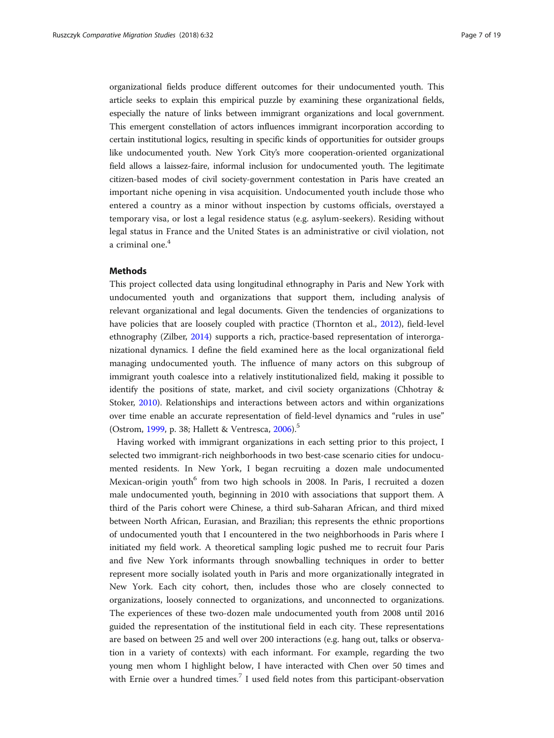organizational fields produce different outcomes for their undocumented youth. This article seeks to explain this empirical puzzle by examining these organizational fields, especially the nature of links between immigrant organizations and local government. This emergent constellation of actors influences immigrant incorporation according to certain institutional logics, resulting in specific kinds of opportunities for outsider groups like undocumented youth. New York City's more cooperation-oriented organizational field allows a laissez-faire, informal inclusion for undocumented youth. The legitimate citizen-based modes of civil society-government contestation in Paris have created an important niche opening in visa acquisition. Undocumented youth include those who entered a country as a minor without inspection by customs officials, overstayed a temporary visa, or lost a legal residence status (e.g. asylum-seekers). Residing without legal status in France and the United States is an administrative or civil violation, not a criminal one.<sup>4</sup>

#### Methods

This project collected data using longitudinal ethnography in Paris and New York with undocumented youth and organizations that support them, including analysis of relevant organizational and legal documents. Given the tendencies of organizations to have policies that are loosely coupled with practice (Thornton et al., [2012\)](#page-19-0), field-level ethnography (Zilber, [2014\)](#page-19-0) supports a rich, practice-based representation of interorganizational dynamics. I define the field examined here as the local organizational field managing undocumented youth. The influence of many actors on this subgroup of immigrant youth coalesce into a relatively institutionalized field, making it possible to identify the positions of state, market, and civil society organizations (Chhotray & Stoker, [2010\)](#page-17-0). Relationships and interactions between actors and within organizations over time enable an accurate representation of field-level dynamics and "rules in use" (Ostrom, [1999](#page-18-0), p. 38; Hallett & Ventresca, [2006\)](#page-18-0).<sup>5</sup>

Having worked with immigrant organizations in each setting prior to this project, I selected two immigrant-rich neighborhoods in two best-case scenario cities for undocumented residents. In New York, I began recruiting a dozen male undocumented Mexican-origin youth<sup>6</sup> from two high schools in 2008. In Paris, I recruited a dozen male undocumented youth, beginning in 2010 with associations that support them. A third of the Paris cohort were Chinese, a third sub-Saharan African, and third mixed between North African, Eurasian, and Brazilian; this represents the ethnic proportions of undocumented youth that I encountered in the two neighborhoods in Paris where I initiated my field work. A theoretical sampling logic pushed me to recruit four Paris and five New York informants through snowballing techniques in order to better represent more socially isolated youth in Paris and more organizationally integrated in New York. Each city cohort, then, includes those who are closely connected to organizations, loosely connected to organizations, and unconnected to organizations. The experiences of these two-dozen male undocumented youth from 2008 until 2016 guided the representation of the institutional field in each city. These representations are based on between 25 and well over 200 interactions (e.g. hang out, talks or observation in a variety of contexts) with each informant. For example, regarding the two young men whom I highlight below, I have interacted with Chen over 50 times and with Ernie over a hundred times.<sup>7</sup> I used field notes from this participant-observation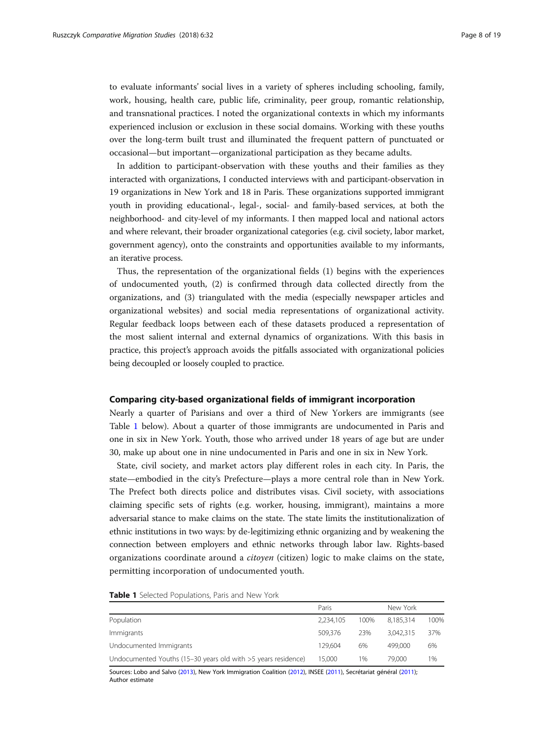to evaluate informants' social lives in a variety of spheres including schooling, family, work, housing, health care, public life, criminality, peer group, romantic relationship, and transnational practices. I noted the organizational contexts in which my informants experienced inclusion or exclusion in these social domains. Working with these youths over the long-term built trust and illuminated the frequent pattern of punctuated or occasional—but important—organizational participation as they became adults.

In addition to participant-observation with these youths and their families as they interacted with organizations, I conducted interviews with and participant-observation in 19 organizations in New York and 18 in Paris. These organizations supported immigrant youth in providing educational-, legal-, social- and family-based services, at both the neighborhood- and city-level of my informants. I then mapped local and national actors and where relevant, their broader organizational categories (e.g. civil society, labor market, government agency), onto the constraints and opportunities available to my informants, an iterative process.

Thus, the representation of the organizational fields (1) begins with the experiences of undocumented youth, (2) is confirmed through data collected directly from the organizations, and (3) triangulated with the media (especially newspaper articles and organizational websites) and social media representations of organizational activity. Regular feedback loops between each of these datasets produced a representation of the most salient internal and external dynamics of organizations. With this basis in practice, this project's approach avoids the pitfalls associated with organizational policies being decoupled or loosely coupled to practice.

#### Comparing city-based organizational fields of immigrant incorporation

Nearly a quarter of Parisians and over a third of New Yorkers are immigrants (see Table 1 below). About a quarter of those immigrants are undocumented in Paris and one in six in New York. Youth, those who arrived under 18 years of age but are under 30, make up about one in nine undocumented in Paris and one in six in New York.

State, civil society, and market actors play different roles in each city. In Paris, the state—embodied in the city's Prefecture—plays a more central role than in New York. The Prefect both directs police and distributes visas. Civil society, with associations claiming specific sets of rights (e.g. worker, housing, immigrant), maintains a more adversarial stance to make claims on the state. The state limits the institutionalization of ethnic institutions in two ways: by de-legitimizing ethnic organizing and by weakening the connection between employers and ethnic networks through labor law. Rights-based organizations coordinate around a citoyen (citizen) logic to make claims on the state, permitting incorporation of undocumented youth.

| Table 1 Selected Populations, Paris and New York |  |  |  |
|--------------------------------------------------|--|--|--|
|--------------------------------------------------|--|--|--|

|                                                               | Paris     |      | New York  |      |  |
|---------------------------------------------------------------|-----------|------|-----------|------|--|
| Population                                                    | 2,234,105 | 100% | 8.185.314 | 100% |  |
| Immigrants                                                    | 509.376   | 23%  | 3.042.315 | 37%  |  |
| Undocumented Immigrants                                       | 129.604   | 6%   | 499,000   | 6%   |  |
| Undocumented Youths (15-30 years old with >5 years residence) | 15.000    | 1%   | 79,000    | 1%   |  |

Sources: Lobo and Salvo ([2013](#page-18-0)), New York Immigration Coalition ([2012](#page-17-0)), INSEE [\(2011\)](#page-18-0), Secrétariat général [\(2011\)](#page-19-0); Author estimate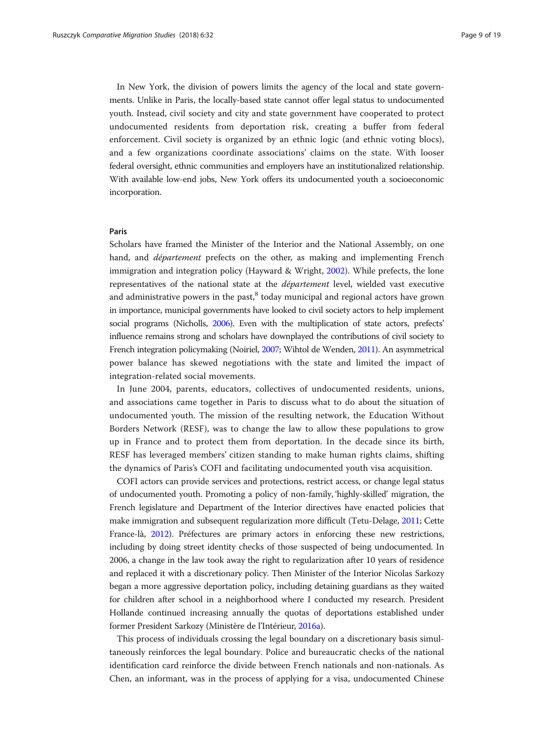In New York, the division of powers limits the agency of the local and state governments. Unlike in Paris, the locally-based state cannot offer legal status to undocumented youth. Instead, civil society and city and state government have cooperated to protect undocumented residents from deportation risk, creating a buffer from federal enforcement. Civil society is organized by an ethnic logic (and ethnic voting blocs), and a few organizations coordinate associations' claims on the state. With looser federal oversight, ethnic communities and employers have an institutionalized relationship. With available low-end jobs, New York offers its undocumented youth a socioeconomic incorporation.

#### Paris

Scholars have framed the Minister of the Interior and the National Assembly, on one hand, and *département* prefects on the other, as making and implementing French immigration and integration policy (Hayward & Wright, [2002\)](#page-18-0). While prefects, the lone representatives of the national state at the département level, wielded vast executive and administrative powers in the past, $<sup>8</sup>$  today municipal and regional actors have grown</sup> in importance, municipal governments have looked to civil society actors to help implement social programs (Nicholls, [2006](#page-18-0)). Even with the multiplication of state actors, prefects' influence remains strong and scholars have downplayed the contributions of civil society to French integration policymaking (Noiriel, [2007](#page-18-0); Wihtol de Wenden, [2011\)](#page-19-0). An asymmetrical power balance has skewed negotiations with the state and limited the impact of integration-related social movements.

In June 2004, parents, educators, collectives of undocumented residents, unions, and associations came together in Paris to discuss what to do about the situation of undocumented youth. The mission of the resulting network, the Education Without Borders Network (RESF), was to change the law to allow these populations to grow up in France and to protect them from deportation. In the decade since its birth, RESF has leveraged members' citizen standing to make human rights claims, shifting the dynamics of Paris's COFI and facilitating undocumented youth visa acquisition.

COFI actors can provide services and protections, restrict access, or change legal status of undocumented youth. Promoting a policy of non-family, 'highly-skilled' migration, the French legislature and Department of the Interior directives have enacted policies that make immigration and subsequent regularization more difficult (Tetu-Delage, [2011](#page-19-0); Cette France-là, [2012\)](#page-18-0). Préfectures are primary actors in enforcing these new restrictions, including by doing street identity checks of those suspected of being undocumented. In 2006, a change in the law took away the right to regularization after 10 years of residence and replaced it with a discretionary policy. Then Minister of the Interior Nicolas Sarkozy began a more aggressive deportation policy, including detaining guardians as they waited for children after school in a neighborhood where I conducted my research. President Hollande continued increasing annually the quotas of deportations established under former President Sarkozy (Ministère de l'Intérieur, [2016a](#page-18-0)).

This process of individuals crossing the legal boundary on a discretionary basis simultaneously reinforces the legal boundary. Police and bureaucratic checks of the national identification card reinforce the divide between French nationals and non-nationals. As Chen, an informant, was in the process of applying for a visa, undocumented Chinese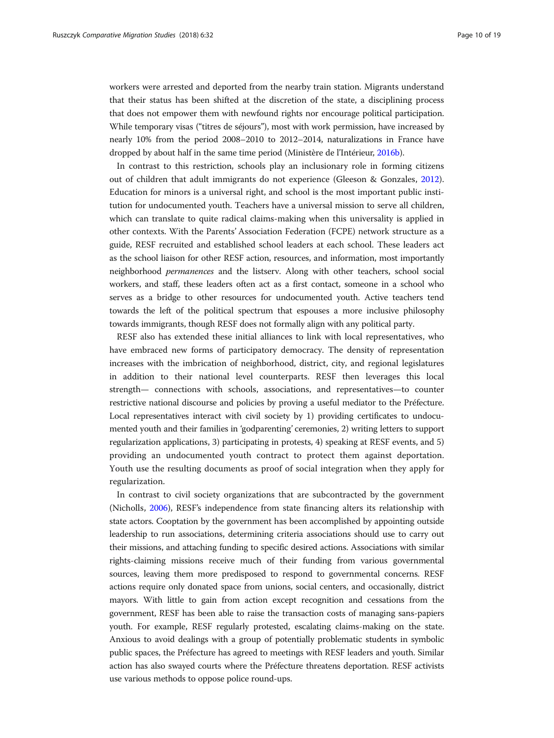workers were arrested and deported from the nearby train station. Migrants understand that their status has been shifted at the discretion of the state, a disciplining process that does not empower them with newfound rights nor encourage political participation. While temporary visas ("titres de séjours"), most with work permission, have increased by nearly 10% from the period 2008–2010 to 2012–2014, naturalizations in France have dropped by about half in the same time period (Ministère de l'Intérieur, [2016b\)](#page-18-0).

In contrast to this restriction, schools play an inclusionary role in forming citizens out of children that adult immigrants do not experience (Gleeson & Gonzales, [2012](#page-18-0)). Education for minors is a universal right, and school is the most important public institution for undocumented youth. Teachers have a universal mission to serve all children, which can translate to quite radical claims-making when this universality is applied in other contexts. With the Parents' Association Federation (FCPE) network structure as a guide, RESF recruited and established school leaders at each school. These leaders act as the school liaison for other RESF action, resources, and information, most importantly neighborhood permanences and the listserv. Along with other teachers, school social workers, and staff, these leaders often act as a first contact, someone in a school who serves as a bridge to other resources for undocumented youth. Active teachers tend towards the left of the political spectrum that espouses a more inclusive philosophy towards immigrants, though RESF does not formally align with any political party.

RESF also has extended these initial alliances to link with local representatives, who have embraced new forms of participatory democracy. The density of representation increases with the imbrication of neighborhood, district, city, and regional legislatures in addition to their national level counterparts. RESF then leverages this local strength— connections with schools, associations, and representatives—to counter restrictive national discourse and policies by proving a useful mediator to the Préfecture. Local representatives interact with civil society by 1) providing certificates to undocumented youth and their families in 'godparenting' ceremonies, 2) writing letters to support regularization applications, 3) participating in protests, 4) speaking at RESF events, and 5) providing an undocumented youth contract to protect them against deportation. Youth use the resulting documents as proof of social integration when they apply for regularization.

In contrast to civil society organizations that are subcontracted by the government (Nicholls, [2006](#page-18-0)), RESF's independence from state financing alters its relationship with state actors. Cooptation by the government has been accomplished by appointing outside leadership to run associations, determining criteria associations should use to carry out their missions, and attaching funding to specific desired actions. Associations with similar rights-claiming missions receive much of their funding from various governmental sources, leaving them more predisposed to respond to governmental concerns. RESF actions require only donated space from unions, social centers, and occasionally, district mayors. With little to gain from action except recognition and cessations from the government, RESF has been able to raise the transaction costs of managing sans-papiers youth. For example, RESF regularly protested, escalating claims-making on the state. Anxious to avoid dealings with a group of potentially problematic students in symbolic public spaces, the Préfecture has agreed to meetings with RESF leaders and youth. Similar action has also swayed courts where the Préfecture threatens deportation. RESF activists use various methods to oppose police round-ups.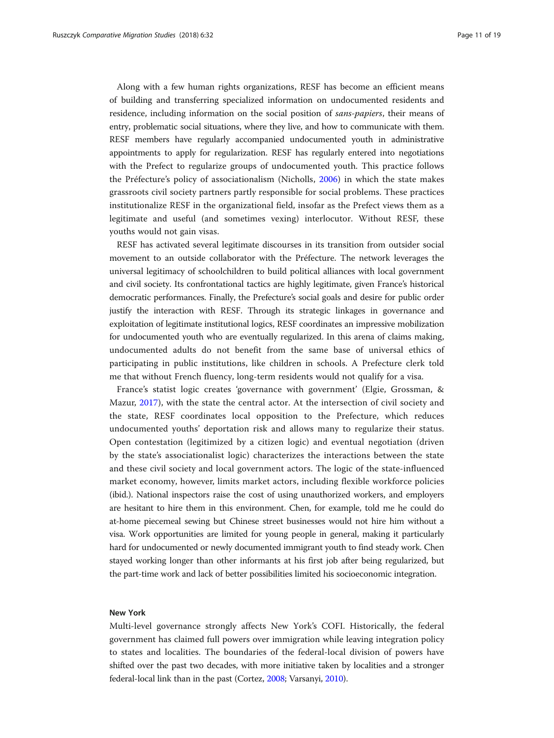Along with a few human rights organizations, RESF has become an efficient means of building and transferring specialized information on undocumented residents and residence, including information on the social position of sans-papiers, their means of entry, problematic social situations, where they live, and how to communicate with them. RESF members have regularly accompanied undocumented youth in administrative appointments to apply for regularization. RESF has regularly entered into negotiations with the Prefect to regularize groups of undocumented youth. This practice follows the Préfecture's policy of associationalism (Nicholls, [2006](#page-18-0)) in which the state makes grassroots civil society partners partly responsible for social problems. These practices institutionalize RESF in the organizational field, insofar as the Prefect views them as a legitimate and useful (and sometimes vexing) interlocutor. Without RESF, these youths would not gain visas.

RESF has activated several legitimate discourses in its transition from outsider social movement to an outside collaborator with the Préfecture. The network leverages the universal legitimacy of schoolchildren to build political alliances with local government and civil society. Its confrontational tactics are highly legitimate, given France's historical democratic performances. Finally, the Prefecture's social goals and desire for public order justify the interaction with RESF. Through its strategic linkages in governance and exploitation of legitimate institutional logics, RESF coordinates an impressive mobilization for undocumented youth who are eventually regularized. In this arena of claims making, undocumented adults do not benefit from the same base of universal ethics of participating in public institutions, like children in schools. A Prefecture clerk told me that without French fluency, long-term residents would not qualify for a visa.

France's statist logic creates 'governance with government' (Elgie, Grossman, & Mazur, [2017](#page-18-0)), with the state the central actor. At the intersection of civil society and the state, RESF coordinates local opposition to the Prefecture, which reduces undocumented youths' deportation risk and allows many to regularize their status. Open contestation (legitimized by a citizen logic) and eventual negotiation (driven by the state's associationalist logic) characterizes the interactions between the state and these civil society and local government actors. The logic of the state-influenced market economy, however, limits market actors, including flexible workforce policies (ibid.). National inspectors raise the cost of using unauthorized workers, and employers are hesitant to hire them in this environment. Chen, for example, told me he could do at-home piecemeal sewing but Chinese street businesses would not hire him without a visa. Work opportunities are limited for young people in general, making it particularly hard for undocumented or newly documented immigrant youth to find steady work. Chen stayed working longer than other informants at his first job after being regularized, but the part-time work and lack of better possibilities limited his socioeconomic integration.

#### New York

Multi-level governance strongly affects New York's COFI. Historically, the federal government has claimed full powers over immigration while leaving integration policy to states and localities. The boundaries of the federal-local division of powers have shifted over the past two decades, with more initiative taken by localities and a stronger federal-local link than in the past (Cortez, [2008](#page-17-0); Varsanyi, [2010\)](#page-19-0).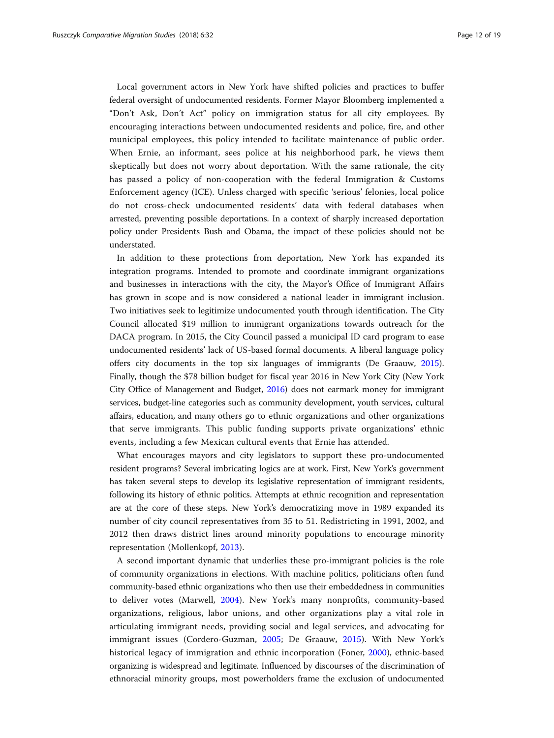Local government actors in New York have shifted policies and practices to buffer federal oversight of undocumented residents. Former Mayor Bloomberg implemented a "Don't Ask, Don't Act" policy on immigration status for all city employees. By encouraging interactions between undocumented residents and police, fire, and other municipal employees, this policy intended to facilitate maintenance of public order. When Ernie, an informant, sees police at his neighborhood park, he views them skeptically but does not worry about deportation. With the same rationale, the city has passed a policy of non-cooperation with the federal Immigration & Customs Enforcement agency (ICE). Unless charged with specific 'serious' felonies, local police do not cross-check undocumented residents' data with federal databases when arrested, preventing possible deportations. In a context of sharply increased deportation policy under Presidents Bush and Obama, the impact of these policies should not be understated.

In addition to these protections from deportation, New York has expanded its integration programs. Intended to promote and coordinate immigrant organizations and businesses in interactions with the city, the Mayor's Office of Immigrant Affairs has grown in scope and is now considered a national leader in immigrant inclusion. Two initiatives seek to legitimize undocumented youth through identification. The City Council allocated \$19 million to immigrant organizations towards outreach for the DACA program. In 2015, the City Council passed a municipal ID card program to ease undocumented residents' lack of US-based formal documents. A liberal language policy offers city documents in the top six languages of immigrants (De Graauw, [2015](#page-18-0)). Finally, though the \$78 billion budget for fiscal year 2016 in New York City (New York City Office of Management and Budget, [2016](#page-18-0)) does not earmark money for immigrant services, budget-line categories such as community development, youth services, cultural affairs, education, and many others go to ethnic organizations and other organizations that serve immigrants. This public funding supports private organizations' ethnic events, including a few Mexican cultural events that Ernie has attended.

What encourages mayors and city legislators to support these pro-undocumented resident programs? Several imbricating logics are at work. First, New York's government has taken several steps to develop its legislative representation of immigrant residents, following its history of ethnic politics. Attempts at ethnic recognition and representation are at the core of these steps. New York's democratizing move in 1989 expanded its number of city council representatives from 35 to 51. Redistricting in 1991, 2002, and 2012 then draws district lines around minority populations to encourage minority representation (Mollenkopf, [2013](#page-18-0)).

A second important dynamic that underlies these pro-immigrant policies is the role of community organizations in elections. With machine politics, politicians often fund community-based ethnic organizations who then use their embeddedness in communities to deliver votes (Marwell, [2004](#page-18-0)). New York's many nonprofits, community-based organizations, religious, labor unions, and other organizations play a vital role in articulating immigrant needs, providing social and legal services, and advocating for immigrant issues (Cordero-Guzman, [2005](#page-17-0); De Graauw, [2015\)](#page-18-0). With New York's historical legacy of immigration and ethnic incorporation (Foner, [2000\)](#page-18-0), ethnic-based organizing is widespread and legitimate. Influenced by discourses of the discrimination of ethnoracial minority groups, most powerholders frame the exclusion of undocumented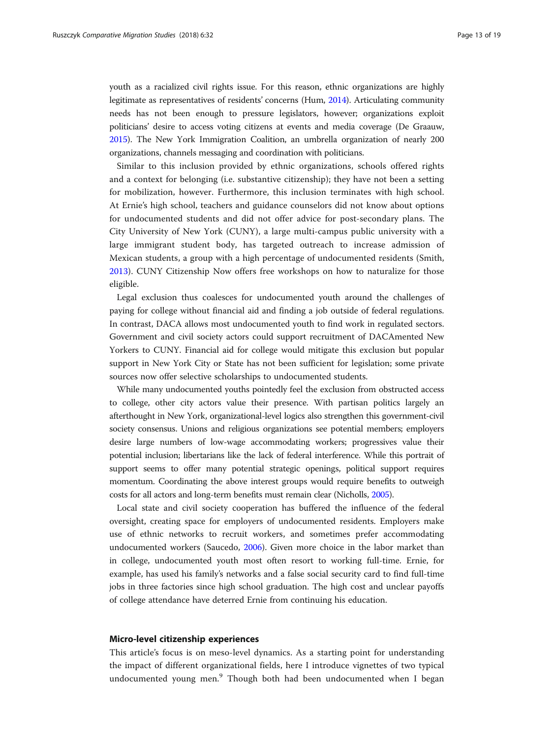youth as a racialized civil rights issue. For this reason, ethnic organizations are highly legitimate as representatives of residents' concerns (Hum, [2014](#page-18-0)). Articulating community needs has not been enough to pressure legislators, however; organizations exploit politicians' desire to access voting citizens at events and media coverage (De Graauw, [2015\)](#page-18-0). The New York Immigration Coalition, an umbrella organization of nearly 200 organizations, channels messaging and coordination with politicians.

Similar to this inclusion provided by ethnic organizations, schools offered rights and a context for belonging (i.e. substantive citizenship); they have not been a setting for mobilization, however. Furthermore, this inclusion terminates with high school. At Ernie's high school, teachers and guidance counselors did not know about options for undocumented students and did not offer advice for post-secondary plans. The City University of New York (CUNY), a large multi-campus public university with a large immigrant student body, has targeted outreach to increase admission of Mexican students, a group with a high percentage of undocumented residents (Smith, [2013\)](#page-19-0). CUNY Citizenship Now offers free workshops on how to naturalize for those eligible.

Legal exclusion thus coalesces for undocumented youth around the challenges of paying for college without financial aid and finding a job outside of federal regulations. In contrast, DACA allows most undocumented youth to find work in regulated sectors. Government and civil society actors could support recruitment of DACAmented New Yorkers to CUNY. Financial aid for college would mitigate this exclusion but popular support in New York City or State has not been sufficient for legislation; some private sources now offer selective scholarships to undocumented students.

While many undocumented youths pointedly feel the exclusion from obstructed access to college, other city actors value their presence. With partisan politics largely an afterthought in New York, organizational-level logics also strengthen this government-civil society consensus. Unions and religious organizations see potential members; employers desire large numbers of low-wage accommodating workers; progressives value their potential inclusion; libertarians like the lack of federal interference. While this portrait of support seems to offer many potential strategic openings, political support requires momentum. Coordinating the above interest groups would require benefits to outweigh costs for all actors and long-term benefits must remain clear (Nicholls, [2005\)](#page-18-0).

Local state and civil society cooperation has buffered the influence of the federal oversight, creating space for employers of undocumented residents. Employers make use of ethnic networks to recruit workers, and sometimes prefer accommodating undocumented workers (Saucedo, [2006\)](#page-19-0). Given more choice in the labor market than in college, undocumented youth most often resort to working full-time. Ernie, for example, has used his family's networks and a false social security card to find full-time jobs in three factories since high school graduation. The high cost and unclear payoffs of college attendance have deterred Ernie from continuing his education.

#### Micro-level citizenship experiences

This article's focus is on meso-level dynamics. As a starting point for understanding the impact of different organizational fields, here I introduce vignettes of two typical undocumented young men.<sup>9</sup> Though both had been undocumented when I began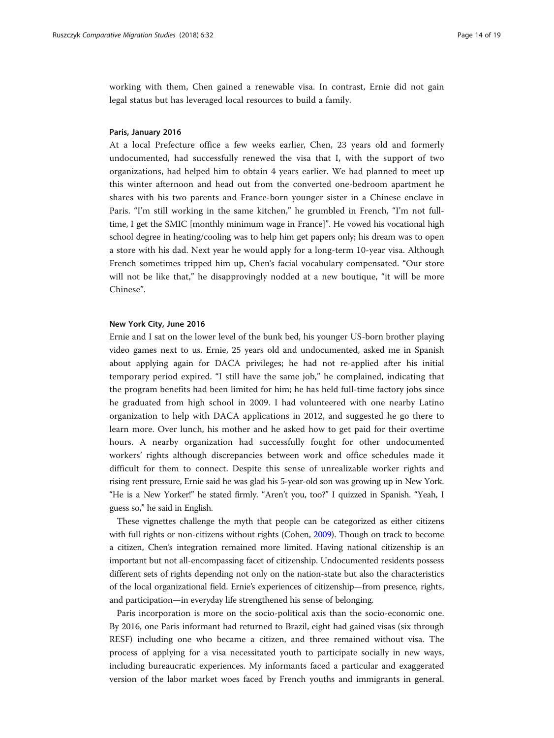working with them, Chen gained a renewable visa. In contrast, Ernie did not gain legal status but has leveraged local resources to build a family.

#### Paris, January 2016

At a local Prefecture office a few weeks earlier, Chen, 23 years old and formerly undocumented, had successfully renewed the visa that I, with the support of two organizations, had helped him to obtain 4 years earlier. We had planned to meet up this winter afternoon and head out from the converted one-bedroom apartment he shares with his two parents and France-born younger sister in a Chinese enclave in Paris. "I'm still working in the same kitchen," he grumbled in French, "I'm not fulltime, I get the SMIC [monthly minimum wage in France]". He vowed his vocational high school degree in heating/cooling was to help him get papers only; his dream was to open a store with his dad. Next year he would apply for a long-term 10-year visa. Although French sometimes tripped him up, Chen's facial vocabulary compensated. "Our store will not be like that," he disapprovingly nodded at a new boutique, "it will be more Chinese".

#### New York City, June 2016

Ernie and I sat on the lower level of the bunk bed, his younger US-born brother playing video games next to us. Ernie, 25 years old and undocumented, asked me in Spanish about applying again for DACA privileges; he had not re-applied after his initial temporary period expired. "I still have the same job," he complained, indicating that the program benefits had been limited for him; he has held full-time factory jobs since he graduated from high school in 2009. I had volunteered with one nearby Latino organization to help with DACA applications in 2012, and suggested he go there to learn more. Over lunch, his mother and he asked how to get paid for their overtime hours. A nearby organization had successfully fought for other undocumented workers' rights although discrepancies between work and office schedules made it difficult for them to connect. Despite this sense of unrealizable worker rights and rising rent pressure, Ernie said he was glad his 5-year-old son was growing up in New York. "He is a New Yorker!" he stated firmly. "Aren't you, too?" I quizzed in Spanish. "Yeah, I guess so," he said in English.

These vignettes challenge the myth that people can be categorized as either citizens with full rights or non-citizens without rights (Cohen, [2009](#page-17-0)). Though on track to become a citizen, Chen's integration remained more limited. Having national citizenship is an important but not all-encompassing facet of citizenship. Undocumented residents possess different sets of rights depending not only on the nation-state but also the characteristics of the local organizational field. Ernie's experiences of citizenship—from presence, rights, and participation—in everyday life strengthened his sense of belonging.

Paris incorporation is more on the socio-political axis than the socio-economic one. By 2016, one Paris informant had returned to Brazil, eight had gained visas (six through RESF) including one who became a citizen, and three remained without visa. The process of applying for a visa necessitated youth to participate socially in new ways, including bureaucratic experiences. My informants faced a particular and exaggerated version of the labor market woes faced by French youths and immigrants in general.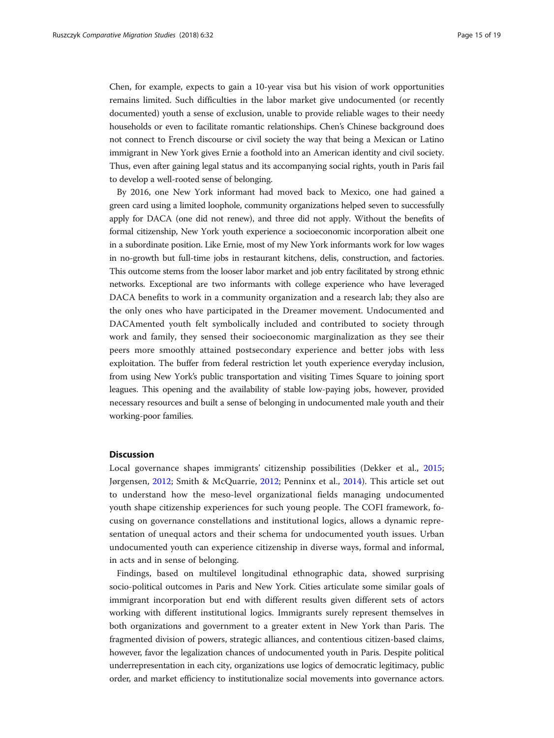Chen, for example, expects to gain a 10-year visa but his vision of work opportunities remains limited. Such difficulties in the labor market give undocumented (or recently documented) youth a sense of exclusion, unable to provide reliable wages to their needy households or even to facilitate romantic relationships. Chen's Chinese background does not connect to French discourse or civil society the way that being a Mexican or Latino immigrant in New York gives Ernie a foothold into an American identity and civil society. Thus, even after gaining legal status and its accompanying social rights, youth in Paris fail to develop a well-rooted sense of belonging.

By 2016, one New York informant had moved back to Mexico, one had gained a green card using a limited loophole, community organizations helped seven to successfully apply for DACA (one did not renew), and three did not apply. Without the benefits of formal citizenship, New York youth experience a socioeconomic incorporation albeit one in a subordinate position. Like Ernie, most of my New York informants work for low wages in no-growth but full-time jobs in restaurant kitchens, delis, construction, and factories. This outcome stems from the looser labor market and job entry facilitated by strong ethnic networks. Exceptional are two informants with college experience who have leveraged DACA benefits to work in a community organization and a research lab; they also are the only ones who have participated in the Dreamer movement. Undocumented and DACAmented youth felt symbolically included and contributed to society through work and family, they sensed their socioeconomic marginalization as they see their peers more smoothly attained postsecondary experience and better jobs with less exploitation. The buffer from federal restriction let youth experience everyday inclusion, from using New York's public transportation and visiting Times Square to joining sport leagues. This opening and the availability of stable low-paying jobs, however, provided necessary resources and built a sense of belonging in undocumented male youth and their working-poor families.

#### **Discussion**

Local governance shapes immigrants' citizenship possibilities (Dekker et al., [2015](#page-18-0); Jørgensen, [2012](#page-18-0); Smith & McQuarrie, [2012;](#page-19-0) Penninx et al., [2014](#page-19-0)). This article set out to understand how the meso-level organizational fields managing undocumented youth shape citizenship experiences for such young people. The COFI framework, focusing on governance constellations and institutional logics, allows a dynamic representation of unequal actors and their schema for undocumented youth issues. Urban undocumented youth can experience citizenship in diverse ways, formal and informal, in acts and in sense of belonging.

Findings, based on multilevel longitudinal ethnographic data, showed surprising socio-political outcomes in Paris and New York. Cities articulate some similar goals of immigrant incorporation but end with different results given different sets of actors working with different institutional logics. Immigrants surely represent themselves in both organizations and government to a greater extent in New York than Paris. The fragmented division of powers, strategic alliances, and contentious citizen-based claims, however, favor the legalization chances of undocumented youth in Paris. Despite political underrepresentation in each city, organizations use logics of democratic legitimacy, public order, and market efficiency to institutionalize social movements into governance actors.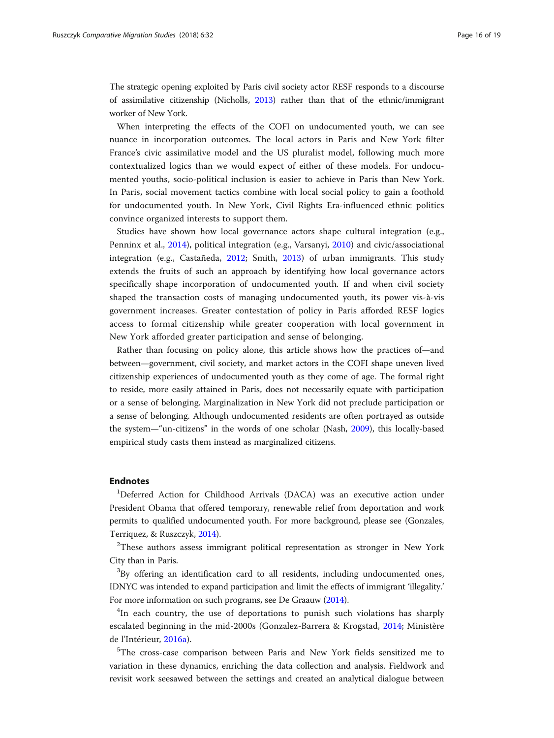The strategic opening exploited by Paris civil society actor RESF responds to a discourse of assimilative citizenship (Nicholls, [2013](#page-18-0)) rather than that of the ethnic/immigrant worker of New York.

When interpreting the effects of the COFI on undocumented youth, we can see nuance in incorporation outcomes. The local actors in Paris and New York filter France's civic assimilative model and the US pluralist model, following much more contextualized logics than we would expect of either of these models. For undocumented youths, socio-political inclusion is easier to achieve in Paris than New York. In Paris, social movement tactics combine with local social policy to gain a foothold for undocumented youth. In New York, Civil Rights Era-influenced ethnic politics convince organized interests to support them.

Studies have shown how local governance actors shape cultural integration (e.g., Penninx et al., [2014\)](#page-19-0), political integration (e.g., Varsanyi, [2010](#page-19-0)) and civic/associational integration (e.g., Castañeda, [2012;](#page-17-0) Smith, [2013](#page-19-0)) of urban immigrants. This study extends the fruits of such an approach by identifying how local governance actors specifically shape incorporation of undocumented youth. If and when civil society shaped the transaction costs of managing undocumented youth, its power vis-à-vis government increases. Greater contestation of policy in Paris afforded RESF logics access to formal citizenship while greater cooperation with local government in New York afforded greater participation and sense of belonging.

Rather than focusing on policy alone, this article shows how the practices of—and between—government, civil society, and market actors in the COFI shape uneven lived citizenship experiences of undocumented youth as they come of age. The formal right to reside, more easily attained in Paris, does not necessarily equate with participation or a sense of belonging. Marginalization in New York did not preclude participation or a sense of belonging. Although undocumented residents are often portrayed as outside the system—"un-citizens" in the words of one scholar (Nash, [2009](#page-18-0)), this locally-based empirical study casts them instead as marginalized citizens.

### Endnotes

<sup>1</sup>Deferred Action for Childhood Arrivals (DACA) was an executive action under President Obama that offered temporary, renewable relief from deportation and work permits to qualified undocumented youth. For more background, please see (Gonzales, Terriquez, & Ruszczyk, [2014](#page-18-0)).

 $2$ These authors assess immigrant political representation as stronger in New York City than in Paris.

 $3$ By offering an identification card to all residents, including undocumented ones, IDNYC was intended to expand participation and limit the effects of immigrant 'illegality.' For more information on such programs, see De Graauw ([2014](#page-18-0)).

<sup>4</sup>In each country, the use of deportations to punish such violations has sharply escalated beginning in the mid-2000s (Gonzalez-Barrera & Krogstad, [2014](#page-18-0); Ministère de l'Intérieur, [2016a\)](#page-18-0).

<sup>5</sup>The cross-case comparison between Paris and New York fields sensitized me to variation in these dynamics, enriching the data collection and analysis. Fieldwork and revisit work seesawed between the settings and created an analytical dialogue between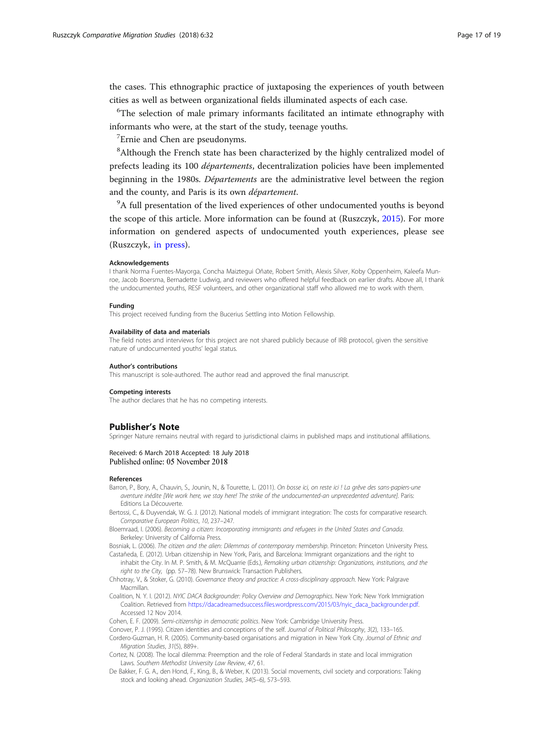<span id="page-17-0"></span>the cases. This ethnographic practice of juxtaposing the experiences of youth between cities as well as between organizational fields illuminated aspects of each case.

<sup>6</sup>The selection of male primary informants facilitated an intimate ethnography with informants who were, at the start of the study, teenage youths.

<sup>7</sup> Ernie and Chen are pseudonyms.

<sup>8</sup>Although the French state has been characterized by the highly centralized model of prefects leading its 100 départements, decentralization policies have been implemented beginning in the 1980s. Départements are the administrative level between the region and the county, and Paris is its own département.

<sup>9</sup>A full presentation of the lived experiences of other undocumented youths is beyond the scope of this article. More information can be found at (Ruszczyk, [2015\)](#page-19-0). For more information on gendered aspects of undocumented youth experiences, please see (Ruszczyk, [in press\)](#page-19-0).

#### Acknowledgements

I thank Norma Fuentes-Mayorga, Concha Maiztegui Oñate, Robert Smith, Alexis Silver, Koby Oppenheim, Kaleefa Munroe, Jacob Boersma, Bernadette Ludwig, and reviewers who offered helpful feedback on earlier drafts. Above all, I thank the undocumented youths, RESF volunteers, and other organizational staff who allowed me to work with them.

#### Funding

This project received funding from the Bucerius Settling into Motion Fellowship.

#### Availability of data and materials

The field notes and interviews for this project are not shared publicly because of IRB protocol, given the sensitive nature of undocumented youths' legal status.

#### Author's contributions

This manuscript is sole-authored. The author read and approved the final manuscript.

#### Competing interests

The author declares that he has no competing interests.

#### Publisher's Note

Springer Nature remains neutral with regard to jurisdictional claims in published maps and institutional affiliations.

#### Received: 6 March 2018 Accepted: 18 July 2018 Published online: 05 November 2018

#### References

- Barron, P., Bory, A., Chauvin, S., Jounin, N., & Tourette, L. (2011). On bosse ici, on reste ici ! La grêve des sans-papiers-une aventure inédite [We work here, we stay here! The strike of the undocumented-an unprecedented adventure]. Paris: Editions La Découverte.
- Bertossi, C., & Duyvendak, W. G. J. (2012). National models of immigrant integration: The costs for comparative research. Comparative European Politics, 10, 237–247.
- Bloemraad, I. (2006). Becoming a citizen: Incorporating immigrants and refugees in the United States and Canada. Berkeley: University of California Press.
- Bosniak, L. (2006). The citizen and the alien: Dilemmas of contemporary membership. Princeton: Princeton University Press. Castañeda, E. (2012). Urban citizenship in New York, Paris, and Barcelona: Immigrant organizations and the right to
- inhabit the City. In M. P. Smith, & M. McQuarrie (Eds.), Remaking urban citizenship: Organizations, institutions, and the right to the City, (pp. 57–78). New Brunswick: Transaction Publishers.
- Chhotray, V., & Stoker, G. (2010). Governance theory and practice: A cross-disciplinary approach. New York: Palgrave Macmillan.
- Coalition, N. Y. I. (2012). NYIC DACA Backgrounder: Policy Overview and Demographics. New York: New York Immigration Coalition. Retrieved from [https://dacadreamedsuccess.files.wordpress.com/2015/03/nyic\\_daca\\_backgrounder.pdf.](https://dacadreamedsuccess.files.wordpress.com/2015/03/nyic_daca_backgrounder.pdf) Accessed 12 Nov 2014.

Cohen, E. F. (2009). Semi-citizenship in democratic politics. New York: Cambridge University Press.

- Conover, P. J. (1995). Citizen identities and conceptions of the self. Journal of Political Philosophy, 3(2), 133–165.
- Cordero-Guzman, H. R. (2005). Community-based organisations and migration in New York City. Journal of Ethnic and Migration Studies, 31(5), 889+.
- Cortez, N. (2008). The local dilemma: Preemption and the role of Federal Standards in state and local immigration Laws. Southern Methodist University Law Review, 47, 61.
- De Bakker, F. G. A., den Hond, F., King, B., & Weber, K. (2013). Social movements, civil society and corporations: Taking stock and looking ahead. Organization Studies, 34(5–6), 573–593.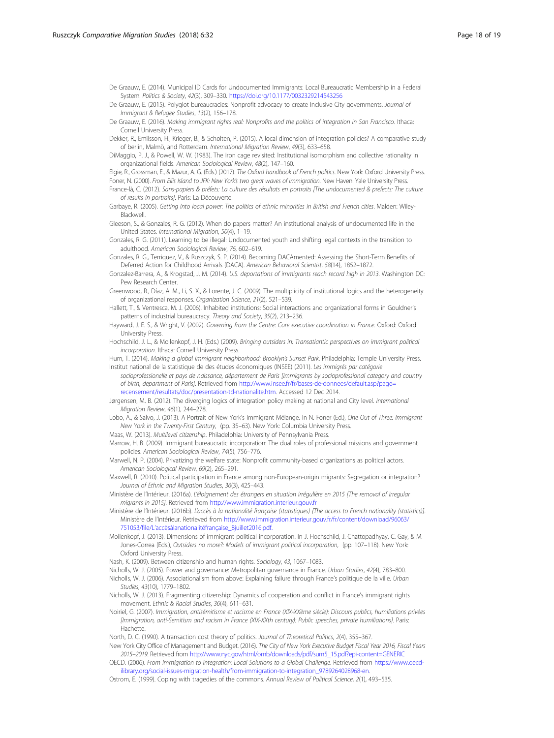- <span id="page-18-0"></span>De Graauw, E. (2014). Municipal ID Cards for Undocumented Immigrants: Local Bureaucratic Membership in a Federal System. Politics & Society, 42(3), 309–330. <https://doi.org/10.1177/0032329214543256>
- De Graauw, E. (2015). Polyglot bureaucracies: Nonprofit advocacy to create Inclusive City governments. Journal of Immigrant & Refugee Studies, 13(2), 156–178.
- De Graauw, E. (2016). Making immigrant rights real: Nonprofits and the politics of integration in San Francisco. Ithaca: Cornell University Press.
- Dekker, R., Emilsson, H., Krieger, B., & Scholten, P. (2015). A local dimension of integration policies? A comparative study of berlin, Malmö, and Rotterdam. International Migration Review, 49(3), 633–658.
- DiMaggio, P. J., & Powell, W. W. (1983). The iron cage revisited: Institutional isomorphism and collective rationality in organizational fields. American Sociological Review, 48(2), 147–160.

Elgie, R., Grossman, E., & Mazur, A. G. (Eds.) (2017). The Oxford handbook of French politics. New York: Oxford University Press. Foner, N. (2000). From Ellis Island to JFK: New York's two great waves of immigration. New Haven: Yale University Press.

France-là, C. (2012). Sans-papiers & préfets: La culture des résultats en portraits [The undocumented & prefects: The culture of results in portraits]. Paris: La Découverte.

Garbaye, R. (2005). Getting into local power: The politics of ethnic minorities in British and French cities. Malden: Wiley-Blackwell.

Gleeson, S., & Gonzales, R. G. (2012). When do papers matter? An institutional analysis of undocumented life in the United States. International Migration, 50(4), 1–19.

Gonzales, R. G. (2011). Learning to be illegal: Undocumented youth and shifting legal contexts in the transition to adulthood. American Sociological Review, 76, 602–619.

Gonzales, R. G., Terriquez, V., & Ruszczyk, S. P. (2014). Becoming DACAmented: Assessing the Short-Term Benefits of Deferred Action for Childhood Arrivals (DACA). American Behavioral Scientist, 58(14), 1852–1872.

- Gonzalez-Barrera, A., & Krogstad, J. M. (2014). U.S. deportations of immigrants reach record high in 2013. Washington DC: Pew Research Center.
- Greenwood, R., Díaz, A. M., Li, S. X., & Lorente, J. C. (2009). The multiplicity of institutional logics and the heterogeneity of organizational responses. Organization Science, 21(2), 521–539.

Hallett, T., & Ventresca, M. J. (2006). Inhabited institutions: Social interactions and organizational forms in Gouldner's patterns of industrial bureaucracy. Theory and Society, 35(2), 213–236.

- Hayward, J. E. S., & Wright, V. (2002). Governing from the Centre: Core executive coordination in France. Oxford: Oxford University Press.
- Hochschild, J. L., & Mollenkopf, J. H. (Eds.) (2009). Bringing outsiders in: Transatlantic perspectives on immigrant political incorporation. Ithaca: Cornell University Press.

Hum, T. (2014). Making a global immigrant neighborhood: Brooklyn's Sunset Park. Philadelphia: Temple University Press. Institut national de la statistique de des études économiques (INSEE) (2011). Les immigrés par catégorie

- socioprofessionelle et pays de naissance, département de Paris [Immigrants by socioprofessional category and country of birth, department of Paris]. Retrieved from [http://www.insee.fr/fr/bases-de-donnees/default.asp?page=](http://www.insee.fr/fr/bases-de-donnees/default.asp?page=recensement/resultats/doc/presentation-td-nationalite.htm) [recensement/resultats/doc/presentation-td-nationalite.htm.](http://www.insee.fr/fr/bases-de-donnees/default.asp?page=recensement/resultats/doc/presentation-td-nationalite.htm) Accessed 12 Dec 2014.
- Jørgensen, M. B. (2012). The diverging logics of integration policy making at national and City level. International Migration Review, 46(1), 244–278.

Lobo, A., & Salvo, J. (2013). A Portrait of New York's Immigrant Mélange. In N. Foner (Ed.), One Out of Three: Immigrant New York in the Twenty-First Century, (pp. 35–63). New York: Columbia University Press.

- Maas, W. (2013). Multilevel citizenship. Philadelphia: University of Pennsylvania Press.
- Marrow, H. B. (2009). Immigrant bureaucratic incorporation: The dual roles of professional missions and government policies. American Sociological Review, 74(5), 756–776.

Marwell, N. P. (2004). Privatizing the welfare state: Nonprofit community-based organizations as political actors. American Sociological Review, 69(2), 265–291.

Maxwell, R. (2010). Political participation in France among non-European-origin migrants: Segregation or integration? Journal of Ethnic and Migration Studies, 36(3), 425–443.

Ministère de l'Intérieur. (2016a). L'éloignement des étrangers en situation irrégulière en 2015 [The removal of irregular migrants in 2015]. Retrieved from http://www.immigration.interieur.gouv.fr

Ministère de l'Intérieur. (2016b). L'accès à la nationalité française (statistiques) [The access to French nationality (statistics)]. Ministère de l'Intérieur. Retrieved from [http://www.immigration.interieur.gouv.fr/fr/content/download/96063/](http://www.immigration.interieur.gouv.fr/fr/content/download/96063/751053/file/Lacc�s�lanationalit�fran�aise_8juillet2016.pdf) 751053/file/L'[accèsàlanationalitéfrançaise\\_8juillet2016.pdf.](http://www.immigration.interieur.gouv.fr/fr/content/download/96063/751053/file/Lacc�s�lanationalit�fran�aise_8juillet2016.pdf)

Mollenkopf, J. (2013). Dimensions of immigrant political incorporation. In J. Hochschild, J. Chattopadhyay, C. Gay, & M. Jones-Correa (Eds.), Outsiders no more?: Models of immigrant political incorporation, (pp. 107–118). New York: Oxford University Press.

Nash, K. (2009). Between citizenship and human rights. Sociology, 43, 1067–1083.

Nicholls, W. J. (2005). Power and governance: Metropolitan governance in France. Urban Studies, 42(4), 783–800.

- Nicholls, W. J. (2006). Associationalism from above: Explaining failure through France's politique de la ville. Urban Studies, 43(10), 1779–1802.
- Nicholls, W. J. (2013). Fragmenting citizenship: Dynamics of cooperation and conflict in France's immigrant rights movement. Ethnic & Racial Studies, 36(4), 611–631.
- Noiriel, G. (2007). Immigration, antisémitisme et racisme en France (XIX-XXème siècle): Discours publics, humiliations privées [Immigration, anti-Semitism and racism in France (XIX-XXth century): Public speeches, private humiliations]. Paris: **Hachette**

North, D. C. (1990). A transaction cost theory of politics. Journal of Theoretical Politics, 2(4), 355–367.

New York City Office of Management and Budget. (2016). The City of New York Executive Budget Fiscal Year 2016, Fiscal Years 2015–2019. Retrieved from http://www.nyc.gov/html/omb/downloads/pdf/sum5\_15.pdf?epi-content=GENERIC

OECD. (2006). From Immigration to Integration: Local Solutions to a Global Challenge. Retrieved from https://www.oecdilibrary.org/social-issues-migration-health/from-immigration-to-integration\_9789264028968-en.

Ostrom, E. (1999). Coping with tragedies of the commons. Annual Review of Political Science, 2(1), 493–535.